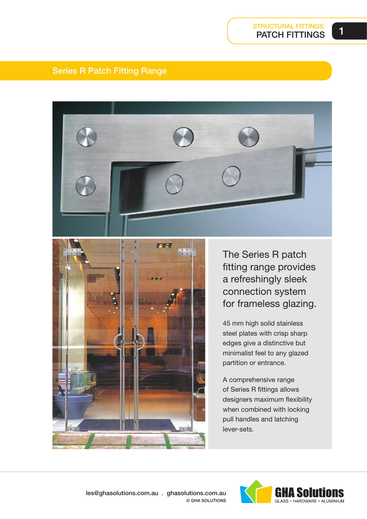### Series R Patch Fitting Range





The Series R patch fitting range provides a refreshingly sleek connection system for frameless glazing.

45 mm high solid stainless steel plates with crisp sharp edges give a distinctive but minimalist feel to any glazed partition or entrance.

A comprehensive range of Series R fittings allows designers maximum flexibility when combined with locking pull handles and latching lever-sets.

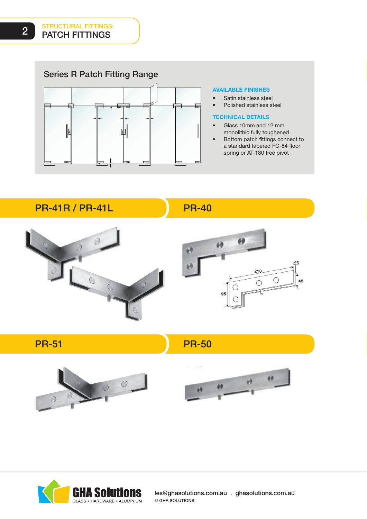Series R Patch Fitting Range



#### AVAILABLE FINISHES

• Satin stainless steel Polished stainless steel

#### TECHNICAL DETAILS

- Glass 10mm and 12 mm monolithic fully toughened
- Bottom patch fittings connect to a standard tapered FC-84 floor spring or AT-180 free pivot

PR-41R / PR-41L

PR-40









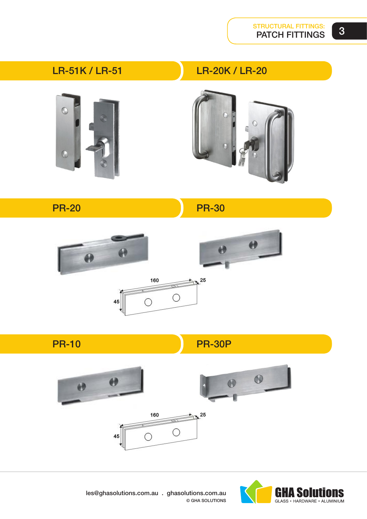3

LR-51K / LR-51

LR-20K / LR-20





PR-20

PR-30







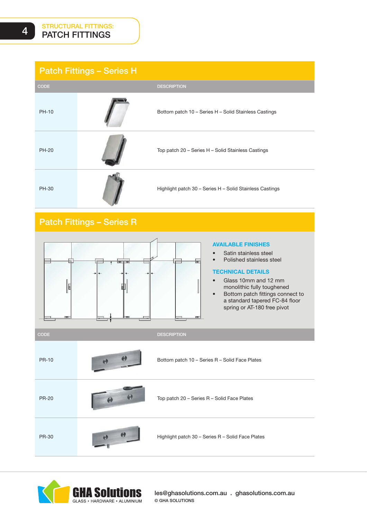## Patch Fittings – Series H

| <b>CODE</b>  | <b>DESCRIPTION</b>                                       |
|--------------|----------------------------------------------------------|
| PH-10        | Bottom patch 10 - Series H - Solid Stainless Castings    |
| <b>PH-20</b> | Top patch 20 - Series H - Solid Stainless Castings       |
| PH-30        | Highlight patch 30 - Series H - Solid Stainless Castings |

## Patch Fittings – Series R



#### AVAILABLE FINISHES

- Satin stainless steel
- Polished stainless steel

#### TECHNICAL DETAILS

- Glass 10mm and 12 mm monolithic fully toughened • Bottom patch fittings connect to
	- a standard tapered FC-84 floor spring or AT-180 free pivot

CODE **DESCRIPTION** PR-10 Bottom patch 10 – Series R – Solid Face Plates PR-20 **Top patch 20 – Series R – Solid Face Plates** PR-30 **Highlight patch 30 – Series R – Solid Face Plates** 



les@ghasolutions.com.au . ghasolutions.com.au © GHA SOLUTIONS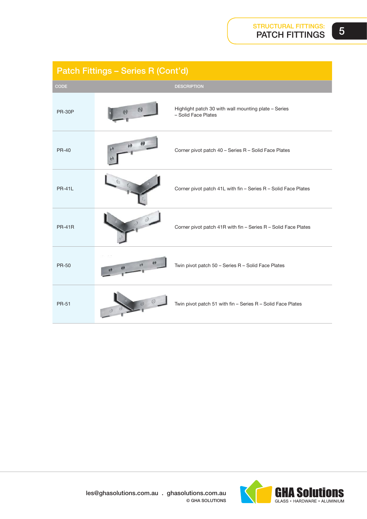5

| Patch Fittings - Series R (Cont'd) |    |                                                                             |
|------------------------------------|----|-----------------------------------------------------------------------------|
| CODE                               |    | <b>DESCRIPTION</b>                                                          |
| <b>PR-30P</b>                      |    | Highlight patch 30 with wall mounting plate - Series<br>- Solid Face Plates |
| <b>PR-40</b>                       | e9 | Corner pivot patch 40 - Series R - Solid Face Plates                        |
| <b>PR-41L</b>                      |    | Corner pivot patch 41L with fin - Series R - Solid Face Plates              |
| <b>PR-41R</b>                      |    | Corner pivot patch 41R with fin - Series R - Solid Face Plates              |
| <b>PR-50</b>                       |    | Twin pivot patch 50 - Series R - Solid Face Plates                          |
| <b>PR-51</b>                       |    | Twin pivot patch 51 with fin - Series R - Solid Face Plates                 |

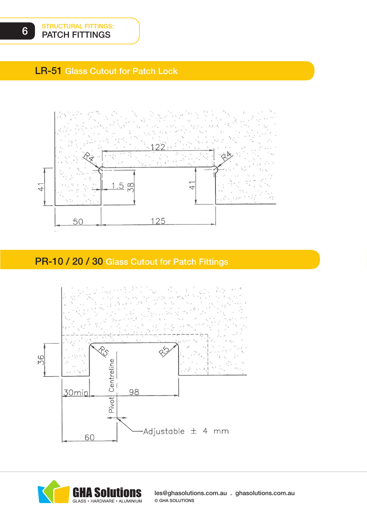## LR-51 Glass Cutout for Patch Lock



# PR-10 / 20 / 30 Glass Cutout for Patch Fittings





les@ghasolutions.com.au . ghasolutions.com.au © GHA SOLUTIONS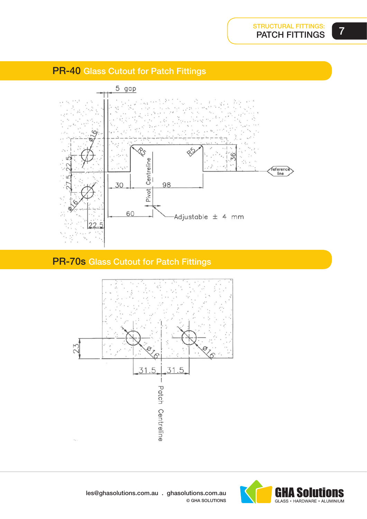



# PR-70s Glass Cutout for Patch Fittings